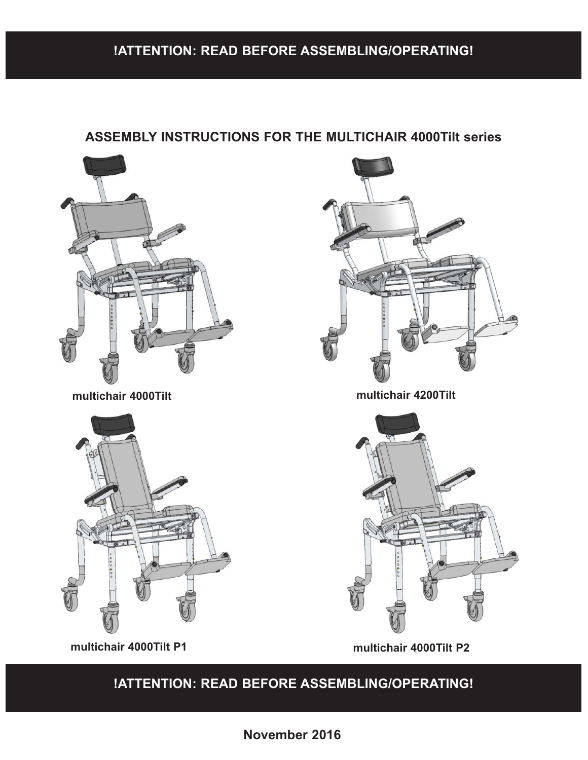## **!ATTENTION: READ BEFORE ASSEMBLING/OPERATING!**

### **ASSEMBLY INSTRUCTIONS FOR THE MULTICHAIR 4000Tilt series**



**multichair 4000Tilt P1 multichair 4000Tilt P2**

### **!ATTENTION: READ BEFORE ASSEMBLING/OPERATING!**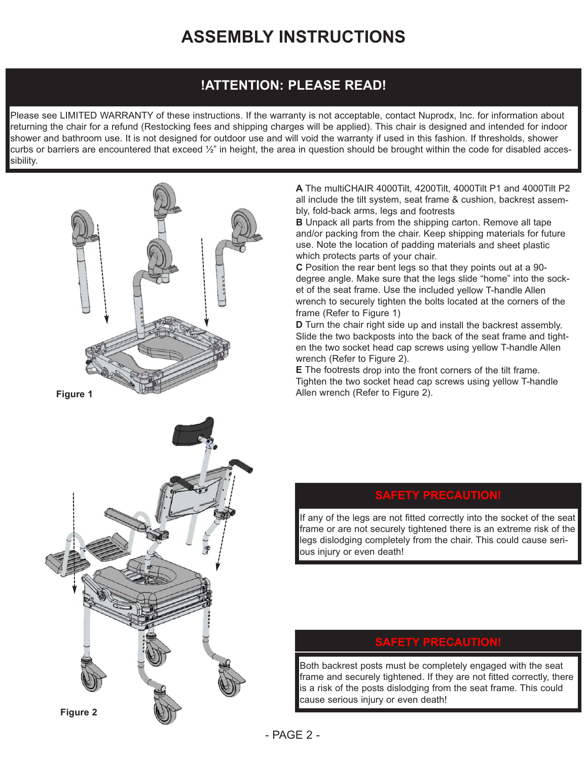## **ASSEMBLY INSTRUCTIONS**

### **!ATTENTION: PLEASE READ!**

Please see LIMITED WARRANTY of these instructions. If the warranty is not acceptable, contact Nuprodx, Inc. for information about returning the chair for a refund (Restocking fees and shipping charges will be applied). This chair is designed and intended for indoor shower and bathroom use. It is not designed for outdoor use and will void the warranty if used in this fashion. If thresholds, shower curbs or barriers are encountered that exceed  $\frac{1}{2}$ " in height, the area in question should be brought within the code for disabled accessibility.



**Figure 1**



**A** The multiCHAIR 4000Tilt, 4200Tilt, 4000Tilt P1 and 4000Tilt P2 all include the tilt system, seat frame & cushion, backrest assembly, fold-back arms, legs and footrests

**B** Unpack all parts from the shipping carton. Remove all tape and/or packing from the chair. Keep shipping materials for future use. Note the location of padding materials and sheet plastic which protects parts of your chair.

**C** Position the rear bent legs so that they points out at a 90 degree angle. Make sure that the legs slide "home" into the socket of the seat frame. Use the included yellow T-handle Allen wrench to securely tighten the bolts located at the corners of the frame (Refer to Figure 1)

**D** Turn the chair right side up and install the backrest assembly. Slide the two backposts into the back of the seat frame and tighten the two socket head cap screws using yellow T-handle Allen wrench (Refer to Figure 2).

**E** The footrests drop into the front corners of the tilt frame. Tighten the two socket head cap screws using yellow T-handle Allen wrench (Refer to Figure 2).

### **FETY PRECAUTIO**

If any of the legs are not fitted correctly into the socket of the seat frame or are not securely tightened there is an extreme risk of the legs dislodging completely from the chair. This could cause serious injury or even death!

### **SAFETY PRECAUTION!**

Both backrest posts must be completely engaged with the seat frame and securely tightened. If they are not fitted correctly, there is a risk of the posts dislodging from the seat frame. This could cause serious injury or even death!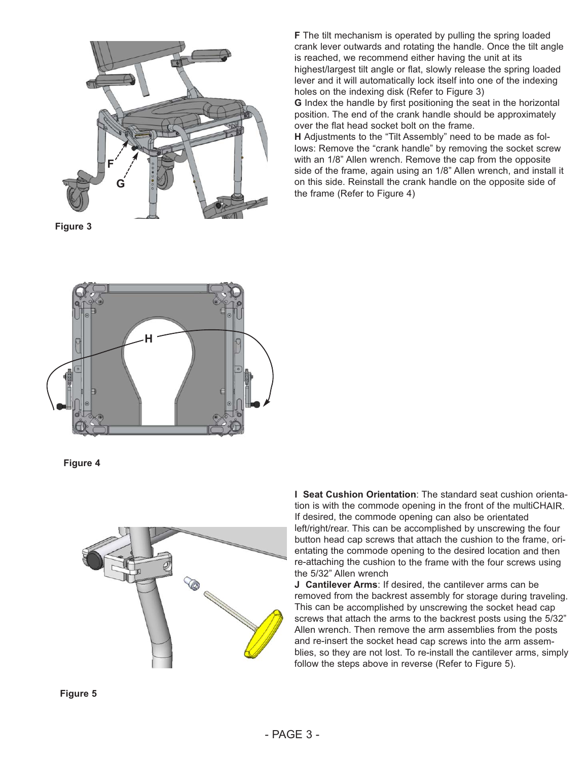

**Figure 3**

**F** The tilt mechanism is operated by pulling the spring loaded crank lever outwards and rotating the handle. Once the tilt angle is reached, we recommend either having the unit at its highest/largest tilt angle or flat, slowly release the spring loaded lever and it will automatically lock itself into one of the indexing holes on the indexing disk (Refer to Figure 3)

**G** Index the handle by first positioning the seat in the horizontal position. The end of the crank handle should be approximately over the flat head socket bolt on the frame.

**H** Adjustments to the "Tilt Assembly" need to be made as follows: Remove the "crank handle" by removing the socket screw with an 1/8" Allen wrench. Remove the cap from the opposite side of the frame, again using an 1/8" Allen wrench, and install it on this side. Reinstall the crank handle on the opposite side of the frame (Refer to Figure 4)



**Figure 4**



**I Seat Cushion Orientation**: The standard seat cushion orientation is with the commode opening in the front of the multiCHAIR. If desired, the commode opening can also be orientated left/right/rear. This can be accomplished by unscrewing the four button head cap screws that attach the cushion to the frame, orientating the commode opening to the desired location and then re-attaching the cushion to the frame with the four screws using the 5/32" Allen wrench

**J Cantilever Arms**: If desired, the cantilever arms can be removed from the backrest assembly for storage during traveling. This can be accomplished by unscrewing the socket head cap screws that attach the arms to the backrest posts using the 5/32" Allen wrench. Then remove the arm assemblies from the posts and re-insert the socket head cap screws into the arm assemblies, so they are not lost. To re-install the cantilever arms, simply follow the steps above in reverse (Refer to Figure 5).

**Figure 5**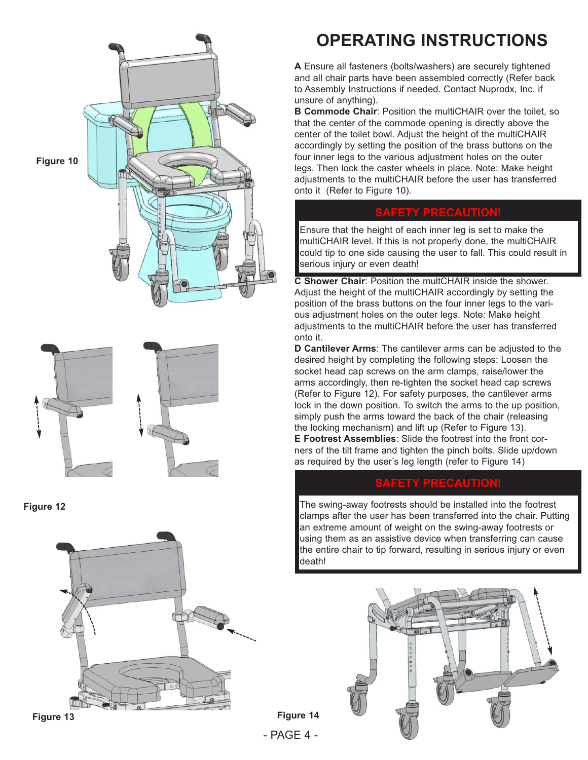



**Figure 12**





# **OPERATING INSTRUCTIONS**

**A** Ensure all fasteners (bolts/washers) are securely tightened and all chair parts have been assembled correctly (Refer back to Assembly Instructions if needed. Contact Nuprodx, Inc. if unsure of anything).

**B Commode Chair: Position the multiCHAIR over the toilet, so** that the center of the commode opening is directly above the center of the toilet bowl. Adjust the height of the multiCHAIR accordingly by setting the position of the brass buttons on the four inner legs to the various adjustment holes on the outer legs. Then lock the caster wheels in place. Note: Make height adjustments to the multiCHAIR before the user has transferred onto it (Refer to Figure 10).

### **SAFETY PRECAUTION!**

Ensure that the height of each inner leg is set to make the multiCHAIR level. If this is not properly done, the multiCHAIR could tip to one side causing the user to fall. This could result in serious injury or even death!

**C Shower Chair**: Position the multCHAIR inside the shower. Adjust the height of the multiCHAIR accordingly by setting the position of the brass buttons on the four inner legs to the various adjustment holes on the outer legs. Note: Make height adjustments to the multiCHAIR before the user has transferred onto it.

**D Cantilever Arms**: The cantilever arms can be adjusted to the desired height by completing the following steps: Loosen the socket head cap screws on the arm clamps, raise/lower the arms accordingly, then re-tighten the socket head cap screws (Refer to Figure 12). For safety purposes, the cantilever arms lock in the down position. To switch the arms to the up position, simply push the arms toward the back of the chair (releasing the locking mechanism) and lift up (Refer to Figure 13).

**E Footrest Assemblies**: Slide the footrest into the front corners of the tilt frame and tighten the pinch bolts. Slide up/down as required by the user's leg length (refer to Figure 14)

### **SAFETY PRECAUTION!**

The swing-away footrests should be installed into the footrest clamps after the user has been transferred into the chair. Putting an extreme amount of weight on the swing-away footrests or using them as an assistive device when transferring can cause the entire chair to tip forward, resulting in serious injury or even death!



- PAGE 4 - **Figure 14**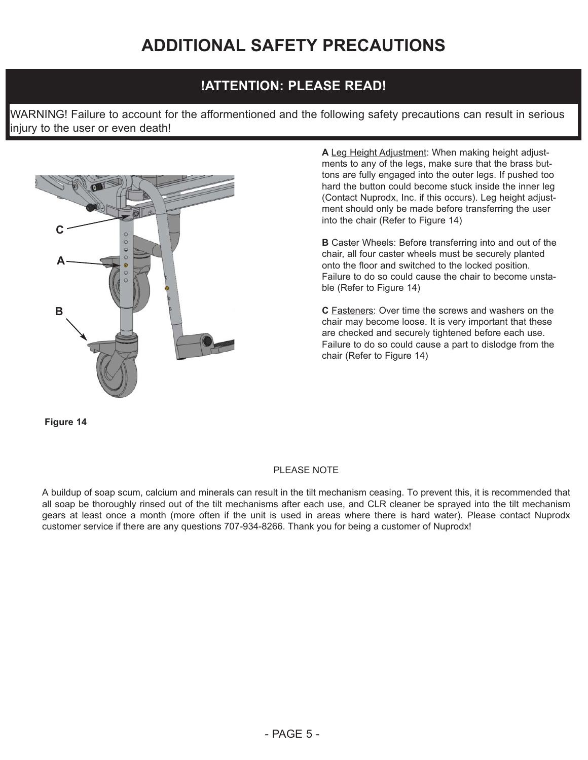## **!ATTENTION: PLEASE READ!**

WARNING! Failure to account for the afformentioned and the following safety precautions can result in serious injury to the user or even death!



**A** Leg Height Adjustment: When making height adjustments to any of the legs, make sure that the brass buttons are fully engaged into the outer legs. If pushed too hard the button could become stuck inside the inner leg (Contact Nuprodx, Inc. if this occurs). Leg height adjustment should only be made before transferring the user into the chair (Refer to Figure 14)

**B** Caster Wheels: Before transferring into and out of the chair, all four caster wheels must be securely planted onto the floor and switched to the locked position. Failure to do so could cause the chair to become unstable (Refer to Figure 14)

**C** Fasteners: Over time the screws and washers on the chair may become loose. It is very important that these are checked and securely tightened before each use. Failure to do so could cause a part to dislodge from the chair (Refer to Figure 14)

**Figure 14**

#### PLEASE NOTE

A buildup of soap scum, calcium and minerals can result in the tilt mechanism ceasing. To prevent this, it is recommended that all soap be thoroughly rinsed out of the tilt mechanisms after each use, and CLR cleaner be sprayed into the tilt mechanism gears at least once a month (more often if the unit is used in areas where there is hard water). Please contact Nuprodx customer service if there are any questions 707-934-8266. Thank you for being a customer of Nuprodx!